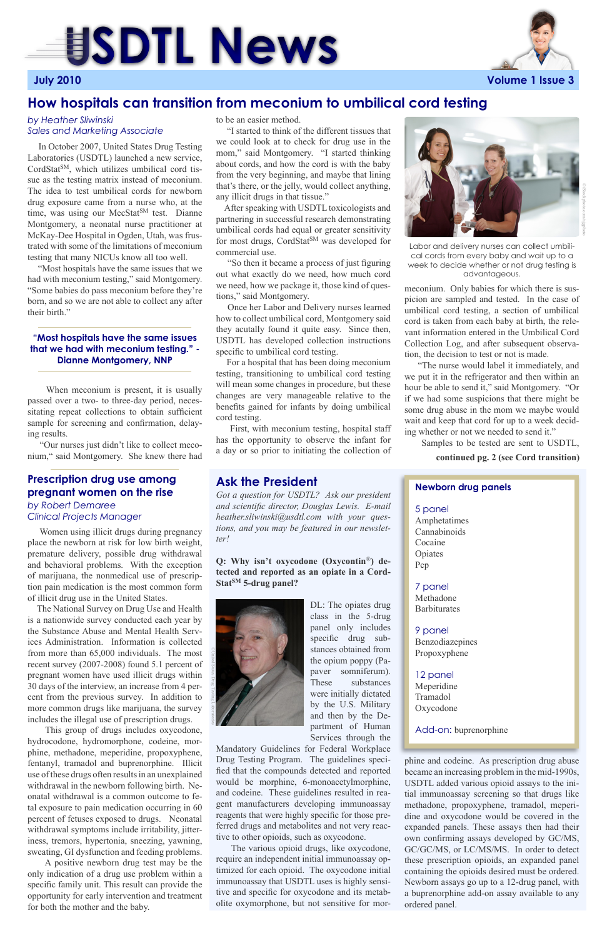meconium. Only babies for which there is suspicion are sampled and tested. In the case of umbilical cord testing, a section of umbilical cord is taken from each baby at birth, the relevant information entered in the Umbilical Cord Collection Log, and after subsequent observation, the decision to test or not is made.

 "The nurse would label it immediately, and we put it in the refrigerator and then within an hour be able to send it," said Montgomery. "Or if we had some suspicions that there might be some drug abuse in the mom we maybe would wait and keep that cord for up to a week deciding whether or not we needed to send it."

Samples to be tested are sent to USDTL,

to be an easier method.

 "I started to think of the different tissues that we could look at to check for drug use in the mom," said Montgomery. "I started thinking about cords, and how the cord is with the baby from the very beginning, and maybe that lining that's there, or the jelly, would collect anything, any illicit drugs in that tissue."

 After speaking with USDTL toxicologists and partnering in successful research demonstrating umbilical cords had equal or greater sensitivity for most drugs, CordStat<sup>SM</sup> was developed for commercial use.

 "So then it became a process of just figuring out what exactly do we need, how much cord we need, how we package it, those kind of questions," said Montgomery.

 Once her Labor and Delivery nurses learned how to collect umbilical cord, Montgomery said they acutally found it quite easy. Since then, USDTL has developed collection instructions specific to umbilical cord testing.

**Q: Why isn't oxycodone (Oxycontin**®**) detected and reported as an opiate in a Cord-**Stat<sup>SM</sup> 5-drug panel?

 For a hospital that has been doing meconium testing, transitioning to umbilical cord testing will mean some changes in procedure, but these changes are very manageable relative to the benefits gained for infants by doing umbilical cord testing.

 First, with meconium testing, hospital staff has the opportunity to observe the infant for a day or so prior to initiating the collection of

# **SDTL News**

**July 2010 Volume 1 Issue 3**

## **How hospitals can transition from meconium to umbilical cord testing**

 In October 2007, United States Drug Testing Laboratories (USDTL) launched a new service, CordStat<sup>SM</sup>, which utilizes umbilical cord tissue as the testing matrix instead of meconium. The idea to test umbilical cords for newborn drug exposure came from a nurse who, at the time, was using our MecStat<sup>SM</sup> test. Dianne Montgomery, a neonatal nurse practitioner at McKay-Dee Hospital in Ogden, Utah, was frustrated with some of the limitations of meconium testing that many NICUs know all too well.

 "Most hospitals have the same issues that we had with meconium testing," said Montgomery. "Some babies do pass meconium before they're born, and so we are not able to collect any after their birth."

 When meconium is present, it is usually passed over a two- to three-day period, necessitating repeat collections to obtain sufficient sample for screening and confirmation, delaying results.

 "Our nurses just didn't like to collect meconium," said Montgomery. She knew there had

> *Got a question for USDTL? Ask our president and scientific director, Douglas Lewis. E-mail heather.sliwinski@usdtl.com with your questions, and you may be featured in our newsletter!*

> > DL: The opiates drug class in the 5-drug panel only includes specific drug substances obtained from the opium poppy (Papaver somniferum). These substances

were initially dictated by the U.S. Military and then by the Department of Human Services through the

Mandatory Guidelines for Federal Workplace Drug Testing Program. The guidelines specified that the compounds detected and reported would be morphine, 6-monoacetylmorphine, and codeine. These guidelines resulted in reagent manufacturers developing immunoassay reagents that were highly specific for those preferred drugs and metabolites and not very reactive to other opioids, such as oxycodone.

 The various opioid drugs, like oxycodone, require an independent initial immunoassay optimized for each opioid. The oxycodone initial immunoassay that USDTL uses is highly sensitive and specific for oxycodone and its metabolite oxymorphone, but not sensitive for mor-

## **Ask the President**

#### *by Heather Sliwinski Sales and Marketing Associate*



Labor and delivery nurses can collect umbilical cords from every baby and wait up to a week to decide whether or not drug testing is advantageous.

 Women using illicit drugs during pregnancy place the newborn at risk for low birth weight, premature delivery, possible drug withdrawal and behavioral problems. With the exception of marijuana, the nonmedical use of prescription pain medication is the most common form of illicit drug use in the United States.

 The National Survey on Drug Use and Health is a nationwide survey conducted each year by the Substance Abuse and Mental Health Services Administration. Information is collected from more than 65,000 individuals. The most recent survey (2007-2008) found 5.1 percent of pregnant women have used illicit drugs within 30 days of the interview, an increase from 4 percent from the previous survey. In addition to more common drugs like marijuana, the survey includes the illegal use of prescription drugs. This group of drugs includes oxycodone, hydrocodone, hydromorphone, codeine, morphine, methadone, meperidine, propoxyphene, fentanyl, tramadol and buprenorphine. Illicit use of these drugs often results in an unexplained withdrawal in the newborn following birth. Neonatal withdrawal is a common outcome to fetal exposure to pain medication occurring in 60 percent of fetuses exposed to drugs. Neonatal withdrawal symptoms include irritability, jitteriness, tremors, hypertonia, sneezing, yawning, sweating, GI dysfunction and feeding problems.

 A positive newborn drug test may be the only indication of a drug use problem within a specific family unit. This result can provide the opportunity for early intervention and treatment for both the mother and the baby.

### **Prescription drug use among pregnant women on the rise**

#### *by Robert Demaree Clinical Projects Manager*

**continued pg. 2 (see Cord transition)**

#### **"Most hospitals have the same issues that we had with meconium testing." - Dianne Montgomery, NNP**

©iStockphoto.com/njgphoto

phine and codeine. As prescription drug abuse became an increasing problem in the mid-1990s, USDTL added various opioid assays to the initial immunoassay screening so that drugs like methadone, propoxyphene, tramadol, meperidine and oxycodone would be covered in the expanded panels. These assays then had their own confirming assays developed by GC/MS, GC/GC/MS, or LC/MS/MS. In order to detect these prescription opioids, an expanded panel containing the opioids desired must be ordered. Newborn assays go up to a 12-drug panel, with a buprenorphine add-on assay available to any ordered panel.

#### **Newborn drug panels**

#### 5 panel

Amphetatimes Cannabinoids Cocaine Opiates Pcp

### 7 panel

Methadone Barbiturates

#### 9 panel

Benzodiazepines Propoxyphene

#### 12 panel Meperidine

Tramadol Oxycodone

Add-on: buprenorphine